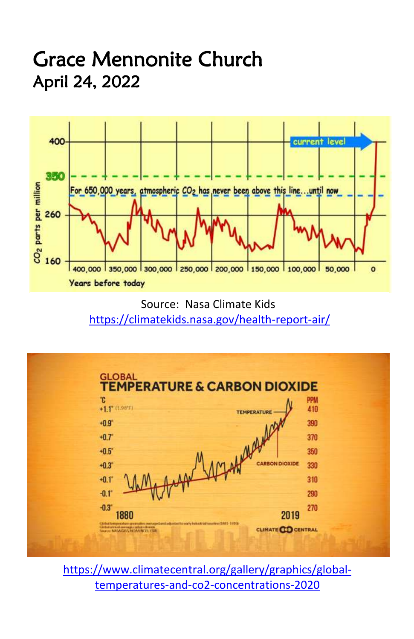# Grace Mennonite Church April 24, 2022



Source: Nasa Climate Kids <https://climatekids.nasa.gov/health-report-air/>



[https://www.climatecentral.org/gallery/graphics/global](https://www.climatecentral.org/gallery/graphics/global-temperatures-and-co2-concentrations-2020)[temperatures-and-co2-concentrations-2020](https://www.climatecentral.org/gallery/graphics/global-temperatures-and-co2-concentrations-2020)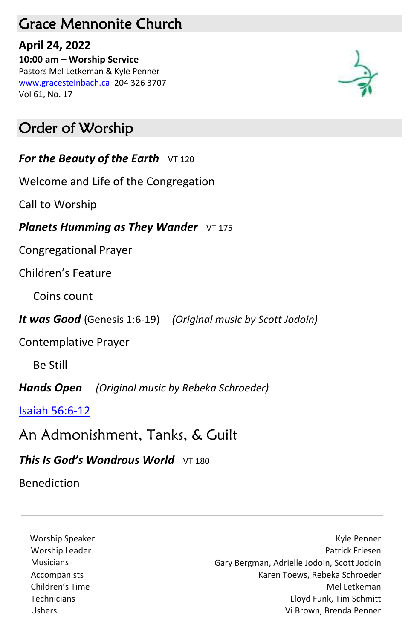### Grace Mennonite Church

#### **April 24, 2022**

**10:00 am – Worship Service** Pastors Mel Letkeman & Kyle Penner [www.gracesteinbach.ca](http://www.gracesteinbach.ca/) 204 326 3707 Vol 61, No. 17



## Order of Worship

#### *For the Beauty of the Earth*  $VT 120$

Welcome and Life of the Congregation

Call to Worship

#### **Planets Humming as They Wander** VT 175

Congregational Prayer

Children's Feature

Coins count

*It was Good* (Genesis 1:6-19) *(Original music by Scott Jodoin)*

Contemplative Prayer

Be Still

*Hands Open (Original music by Rebeka Schroeder)*

[Isaiah 56:6-12](https://www.biblegateway.com/passage/?search=Isaiah+56%3A6-12&version=NRSV)

An Admonishment, Tanks, & Guilt

#### *This Is God's Wondrous World* VT 180

Benediction

Worship Speaker National Speaker Kyle Penner Kyle Penner Kyle Penner Worship Leader **Patrick Friesen** Patrick Friesen Musicians Gary Bergman, Adrielle Jodoin, Scott Jodoin Accompanists **Karen Toews, Rebeka Schroeder** Karen Toews, Rebeka Schroeder Children's Time **Mel Letkeman** Mel Letkeman Technicians Lloyd Funk, Tim Schmitt Ushers Vi Brown, Brenda Penner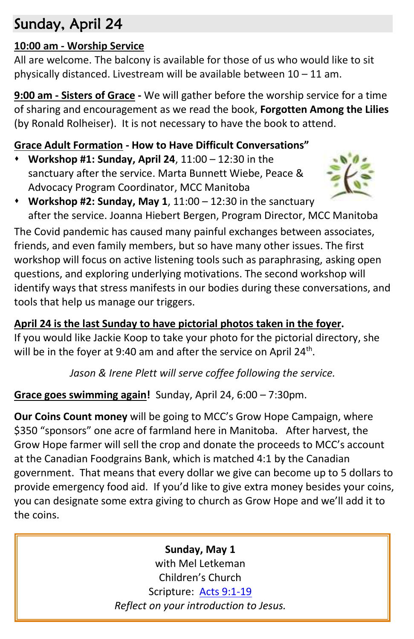## Sunday, April 24

#### **10:00 am - Worship Service**

All are welcome. The balcony is available for those of us who would like to sit physically distanced. Livestream will be available between 10 – 11 am.

**9:00 am - Sisters of Grace -** We will gather before the worship service for a time of sharing and encouragement as we read the book, **Forgotten Among the Lilies**  (by Ronald Rolheiser). It is not necessary to have the book to attend.

#### **Grace Adult Formation - How to Have Difficult Conversations"**

 **Workshop #1: Sunday, April 24**, 11:00 – 12:30 in the sanctuary after the service. Marta Bunnett Wiebe, Peace & Advocacy Program Coordinator, MCC Manitoba



 **Workshop #2: Sunday, May 1**, 11:00 – 12:30 in the sanctuary after the service. Joanna Hiebert Bergen, Program Director, MCC Manitoba

The Covid pandemic has caused many painful exchanges between associates, friends, and even family members, but so have many other issues. The first workshop will focus on active listening tools such as paraphrasing, asking open questions, and exploring underlying motivations. The second workshop will identify ways that stress manifests in our bodies during these conversations, and tools that help us manage our triggers.

#### **April 24 is the last Sunday to have pictorial photos taken in the foyer.**

If you would like Jackie Koop to take your photo for the pictorial directory, she will be in the foyer at 9:40 am and after the service on April 24<sup>th</sup>.

*Jason & Irene Plett will serve coffee following the service.*

#### **Grace goes swimming again!** Sunday, April 24, 6:00 – 7:30pm.

**Our Coins Count money** will be going to MCC's Grow Hope Campaign, where \$350 "sponsors" one acre of farmland here in Manitoba. After harvest, the Grow Hope farmer will sell the crop and donate the proceeds to MCC's account at the Canadian Foodgrains Bank, which is matched 4:1 by the Canadian government. That means that every dollar we give can become up to 5 dollars to provide emergency food aid. If you'd like to give extra money besides your coins, you can designate some extra giving to church as Grow Hope and we'll add it to the coins.

#### **Sunday, May 1**

with Mel Letkeman Children's Church Scripture: [Acts 9:1-19](https://www.biblegateway.com/passage/?search=Acts+9%3A1-19+&version=NRSV) *Reflect on your introduction to Jesus.*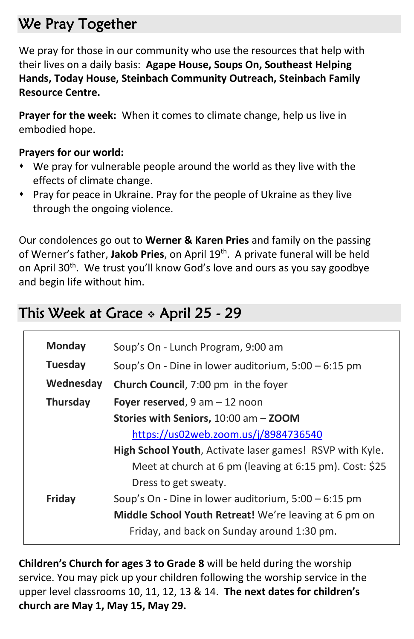## We Pray Together

We pray for those in our community who use the resources that help with their lives on a daily basis: **Agape House, Soups On, Southeast Helping Hands, Today House, Steinbach Community Outreach, Steinbach Family Resource Centre.**

**Prayer for the week:** When it comes to climate change, help us live in embodied hope.

#### **Prayers for our world:**

- We pray for vulnerable people around the world as they live with the effects of climate change.
- Pray for peace in Ukraine. Pray for the people of Ukraine as they live through the ongoing violence.

Our condolences go out to **Werner & Karen Pries** and family on the passing of Werner's father, **Jakob Pries**, on April 19<sup>th</sup>. A private funeral will be held on April 30<sup>th</sup>. We trust you'll know God's love and ours as you say goodbye and begin life without him.

| <b>Monday</b>   | Soup's On - Lunch Program, 9:00 am                       |
|-----------------|----------------------------------------------------------|
| <b>Tuesday</b>  | Soup's On - Dine in lower auditorium, 5:00 - 6:15 pm     |
| Wednesday       | <b>Church Council</b> , 7:00 pm in the foyer             |
| <b>Thursday</b> | Foyer reserved, $9$ am $-12$ noon                        |
|                 | Stories with Seniors, 10:00 am - ZOOM                    |
|                 | https://us02web.zoom.us/j/8984736540                     |
|                 | High School Youth, Activate laser games! RSVP with Kyle. |
|                 | Meet at church at 6 pm (leaving at 6:15 pm). Cost: \$25  |
|                 | Dress to get sweaty.                                     |
| Friday          | Soup's On - Dine in lower auditorium, 5:00 - 6:15 pm     |
|                 | Middle School Youth Retreat! We're leaving at 6 pm on    |
|                 | Friday, and back on Sunday around 1:30 pm.               |
|                 |                                                          |

**Children's Church for ages 3 to Grade 8** will be held during the worship service. You may pick up your children following the worship service in the upper level classrooms 10, 11, 12, 13 & 14. **The next dates for children's church are May 1, May 15, May 29.**

#### This Week at Grace  $\div$  April 25 - 29